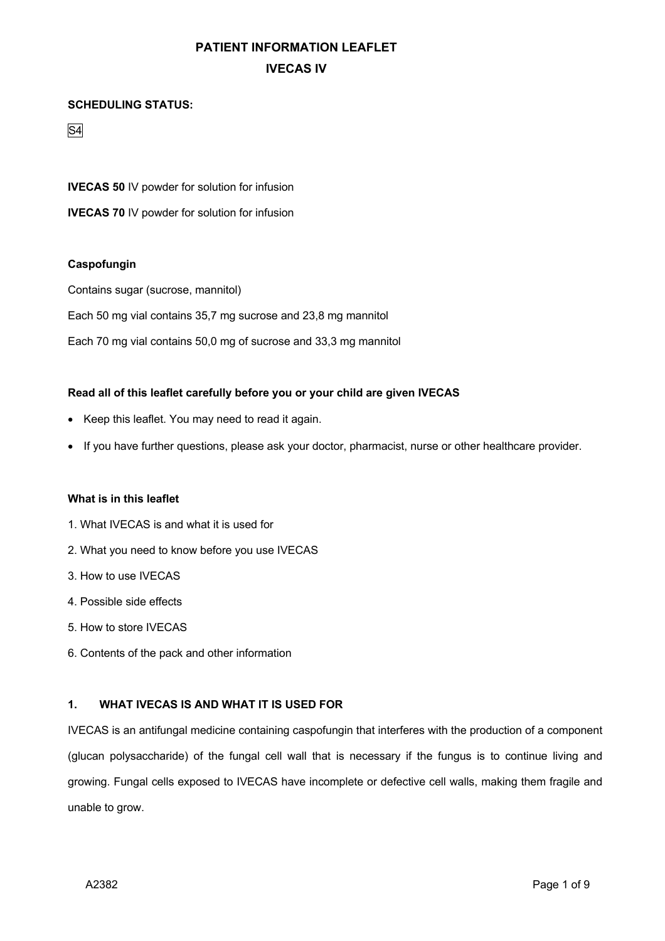## **SCHEDULING STATUS:**

# S4

**IVECAS 50** IV powder for solution for infusion

**IVECAS 70** IV powder for solution for infusion

# **Caspofungin**

Contains sugar (sucrose, mannitol)

Each 50 mg vial contains 35,7 mg sucrose and 23,8 mg mannitol

Each 70 mg vial contains 50,0 mg of sucrose and 33,3 mg mannitol

## **Read all of this leaflet carefully before you or your child are given IVECAS**

- Keep this leaflet. You may need to read it again.
- If you have further questions, please ask your doctor, pharmacist, nurse or other healthcare provider.

## **What is in this leaflet**

- 1. What IVECAS is and what it is used for
- 2. What you need to know before you use IVECAS
- 3. How to use IVECAS
- 4. Possible side effects
- 5. How to store IVECAS
- 6. Contents of the pack and other information

# **1. WHAT IVECAS IS AND WHAT IT IS USED FOR**

IVECAS is an antifungal medicine containing caspofungin that interferes with the production of a component (glucan polysaccharide) of the fungal cell wall that is necessary if the fungus is to continue living and growing. Fungal cells exposed to IVECAS have incomplete or defective cell walls, making them fragile and unable to grow.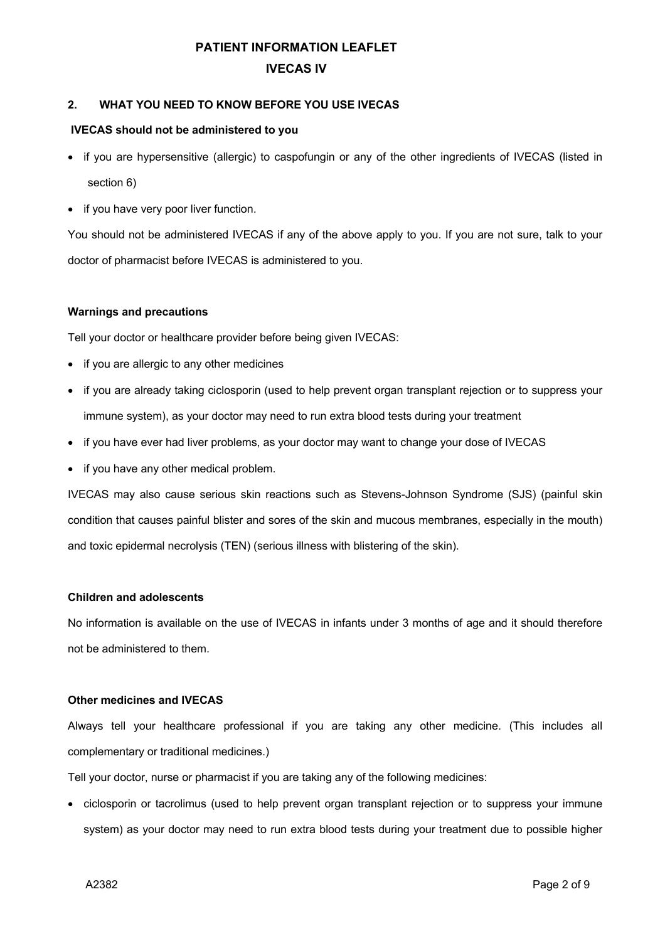## **2. WHAT YOU NEED TO KNOW BEFORE YOU USE IVECAS**

#### **IVECAS should not be administered to you**

- if you are hypersensitive (allergic) to caspofungin or any of the other ingredients of IVECAS (listed in section 6)
- if you have very poor liver function.

You should not be administered IVECAS if any of the above apply to you. If you are not sure, talk to your doctor of pharmacist before IVECAS is administered to you.

## **Warnings and precautions**

Tell your doctor or healthcare provider before being given IVECAS:

- if you are allergic to any other medicines
- if you are already taking ciclosporin (used to help prevent organ transplant rejection or to suppress your immune system), as your doctor may need to run extra blood tests during your treatment
- if you have ever had liver problems, as your doctor may want to change your dose of IVECAS
- if you have any other medical problem.

IVECAS may also cause serious skin reactions such as Stevens-Johnson Syndrome (SJS) (painful skin condition that causes painful blister and sores of the skin and mucous membranes, especially in the mouth) and toxic epidermal necrolysis (TEN) (serious illness with blistering of the skin).

## **Children and adolescents**

No information is available on the use of IVECAS in infants under 3 months of age and it should therefore not be administered to them.

## **Other medicines and IVECAS**

Always tell your healthcare professional if you are taking any other medicine. (This includes all complementary or traditional medicines.)

Tell your doctor, nurse or pharmacist if you are taking any of the following medicines:

• ciclosporin or tacrolimus (used to help prevent organ transplant rejection or to suppress your immune system) as your doctor may need to run extra blood tests during your treatment due to possible higher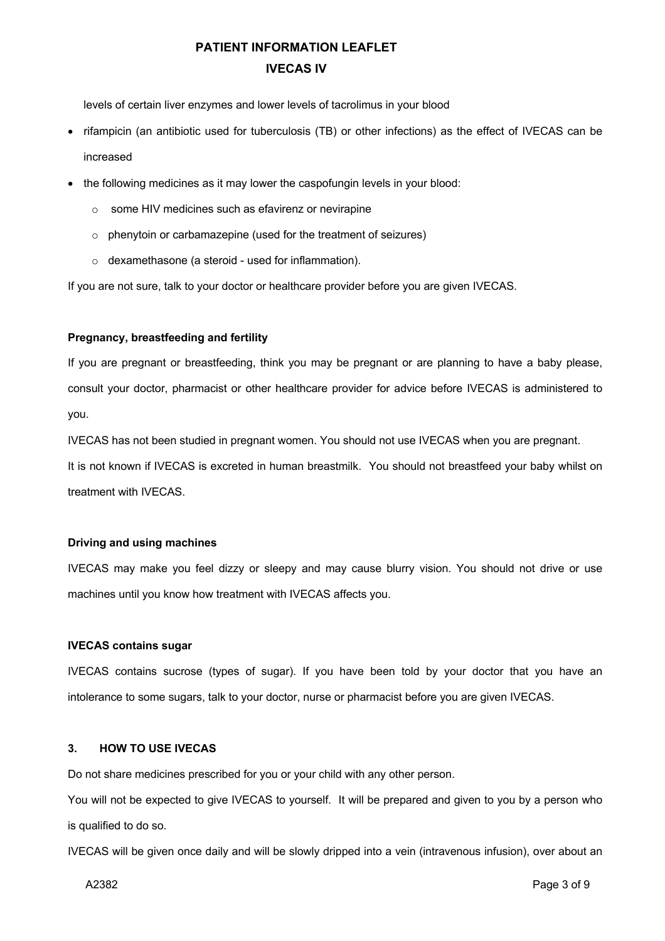levels of certain liver enzymes and lower levels of tacrolimus in your blood

- rifampicin (an antibiotic used for tuberculosis (TB) or other infections) as the effect of IVECAS can be increased
- the following medicines as it may lower the caspofungin levels in your blood:
	- o some HIV medicines such as efavirenz or nevirapine
	- o phenytoin or carbamazepine (used for the treatment of seizures)
	- o dexamethasone (a steroid used for inflammation).

If you are not sure, talk to your doctor or healthcare provider before you are given IVECAS.

## **Pregnancy, breastfeeding and fertility**

If you are pregnant or breastfeeding, think you may be pregnant or are planning to have a baby please, consult your doctor, pharmacist or other healthcare provider for advice before IVECAS is administered to you.

IVECAS has not been studied in pregnant women. You should not use IVECAS when you are pregnant.

It is not known if IVECAS is excreted in human breastmilk. You should not breastfeed your baby whilst on treatment with IVECAS.

## **Driving and using machines**

IVECAS may make you feel dizzy or sleepy and may cause blurry vision. You should not drive or use machines until you know how treatment with IVECAS affects you.

## **IVECAS contains sugar**

IVECAS contains sucrose (types of sugar). If you have been told by your doctor that you have an intolerance to some sugars, talk to your doctor, nurse or pharmacist before you are given IVECAS.

## **3. HOW TO USE IVECAS**

Do not share medicines prescribed for you or your child with any other person.

You will not be expected to give IVECAS to yourself. It will be prepared and given to you by a person who is qualified to do so.

IVECAS will be given once daily and will be slowly dripped into a vein (intravenous infusion), over about an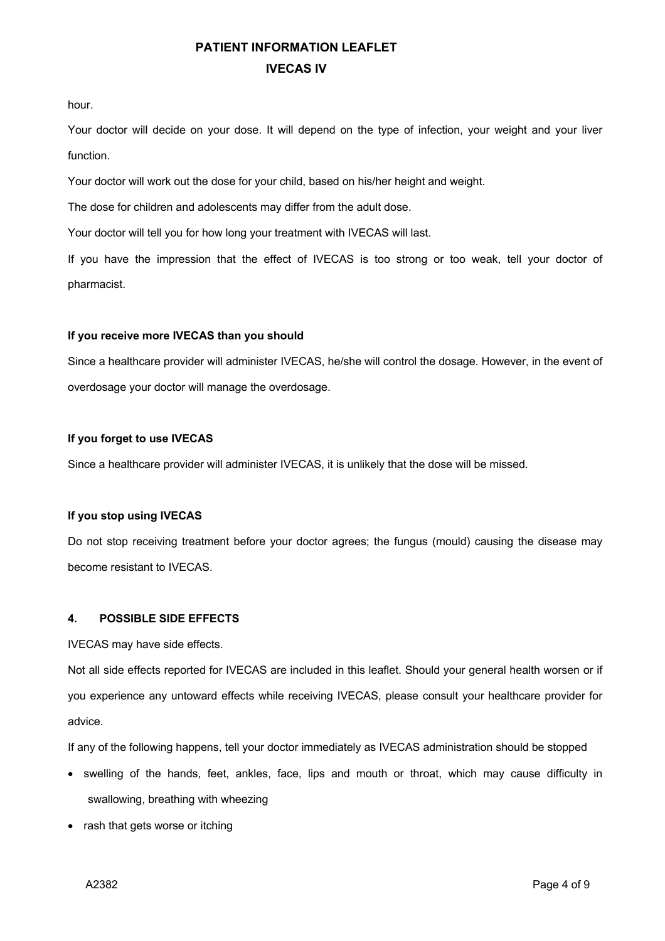### hour.

Your doctor will decide on your dose. It will depend on the type of infection, your weight and your liver function.

Your doctor will work out the dose for your child, based on his/her height and weight.

The dose for children and adolescents may differ from the adult dose.

Your doctor will tell you for how long your treatment with IVECAS will last.

If you have the impression that the effect of IVECAS is too strong or too weak, tell your doctor of pharmacist.

## **If you receive more IVECAS than you should**

Since a healthcare provider will administer IVECAS, he/she will control the dosage. However, in the event of overdosage your doctor will manage the overdosage.

#### **If you forget to use IVECAS**

Since a healthcare provider will administer IVECAS, it is unlikely that the dose will be missed.

## **If you stop using IVECAS**

Do not stop receiving treatment before your doctor agrees; the fungus (mould) causing the disease may become resistant to IVECAS.

## **4. POSSIBLE SIDE EFFECTS**

IVECAS may have side effects.

Not all side effects reported for IVECAS are included in this leaflet. Should your general health worsen or if you experience any untoward effects while receiving IVECAS, please consult your healthcare provider for advice.

If any of the following happens, tell your doctor immediately as IVECAS administration should be stopped

- swelling of the hands, feet, ankles, face, lips and mouth or throat, which may cause difficulty in swallowing, breathing with wheezing
- rash that gets worse or itching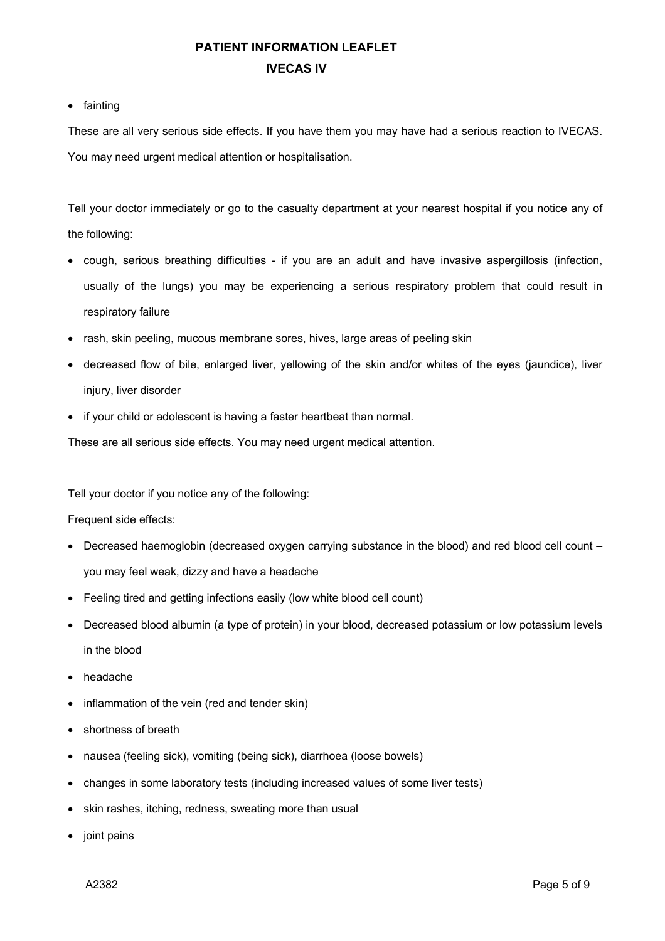• fainting

These are all very serious side effects. If you have them you may have had a serious reaction to IVECAS. You may need urgent medical attention or hospitalisation.

Tell your doctor immediately or go to the casualty department at your nearest hospital if you notice any of the following:

- cough, serious breathing difficulties if you are an adult and have invasive aspergillosis (infection, usually of the lungs) you may be experiencing a serious respiratory problem that could result in respiratory failure
- rash, skin peeling, mucous membrane sores, hives, large areas of peeling skin
- decreased flow of bile, enlarged liver, yellowing of the skin and/or whites of the eyes (jaundice), liver injury, liver disorder
- if your child or adolescent is having a faster heartbeat than normal.

These are all serious side effects. You may need urgent medical attention.

Tell your doctor if you notice any of the following:

Frequent side effects:

- Decreased haemoglobin (decreased oxygen carrying substance in the blood) and red blood cell count you may feel weak, dizzy and have a headache
- Feeling tired and getting infections easily (low white blood cell count)
- Decreased blood albumin (a type of protein) in your blood, decreased potassium or low potassium levels in the blood
- headache
- inflammation of the vein (red and tender skin)
- shortness of breath
- nausea (feeling sick), vomiting (being sick), diarrhoea (loose bowels)
- changes in some laboratory tests (including increased values of some liver tests)
- skin rashes, itching, redness, sweating more than usual
- joint pains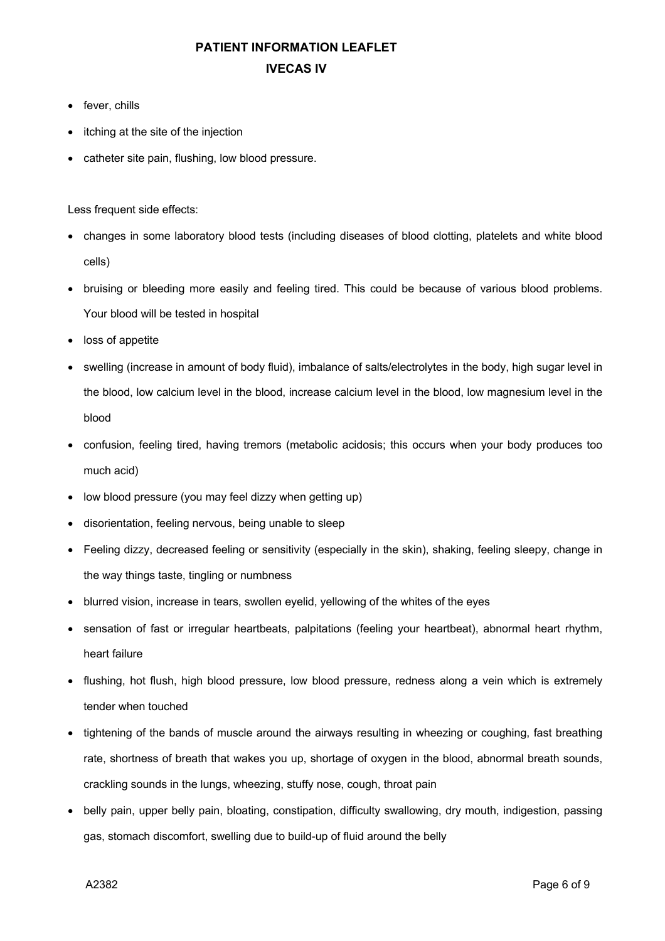- fever, chills
- itching at the site of the injection
- catheter site pain, flushing, low blood pressure.

Less frequent side effects:

- changes in some laboratory blood tests (including diseases of blood clotting, platelets and white blood cells)
- bruising or bleeding more easily and feeling tired. This could be because of various blood problems. Your blood will be tested in hospital
- loss of appetite
- swelling (increase in amount of body fluid), imbalance of salts/electrolytes in the body, high sugar level in the blood, low calcium level in the blood, increase calcium level in the blood, low magnesium level in the blood
- confusion, feeling tired, having tremors (metabolic acidosis; this occurs when your body produces too much acid)
- low blood pressure (you may feel dizzy when getting up)
- disorientation, feeling nervous, being unable to sleep
- Feeling dizzy, decreased feeling or sensitivity (especially in the skin), shaking, feeling sleepy, change in the way things taste, tingling or numbness
- blurred vision, increase in tears, swollen eyelid, yellowing of the whites of the eyes
- sensation of fast or irregular heartbeats, palpitations (feeling your heartbeat), abnormal heart rhythm, heart failure
- flushing, hot flush, high blood pressure, low blood pressure, redness along a vein which is extremely tender when touched
- tightening of the bands of muscle around the airways resulting in wheezing or coughing, fast breathing rate, shortness of breath that wakes you up, shortage of oxygen in the blood, abnormal breath sounds, crackling sounds in the lungs, wheezing, stuffy nose, cough, throat pain
- belly pain, upper belly pain, bloating, constipation, difficulty swallowing, dry mouth, indigestion, passing gas, stomach discomfort, swelling due to build-up of fluid around the belly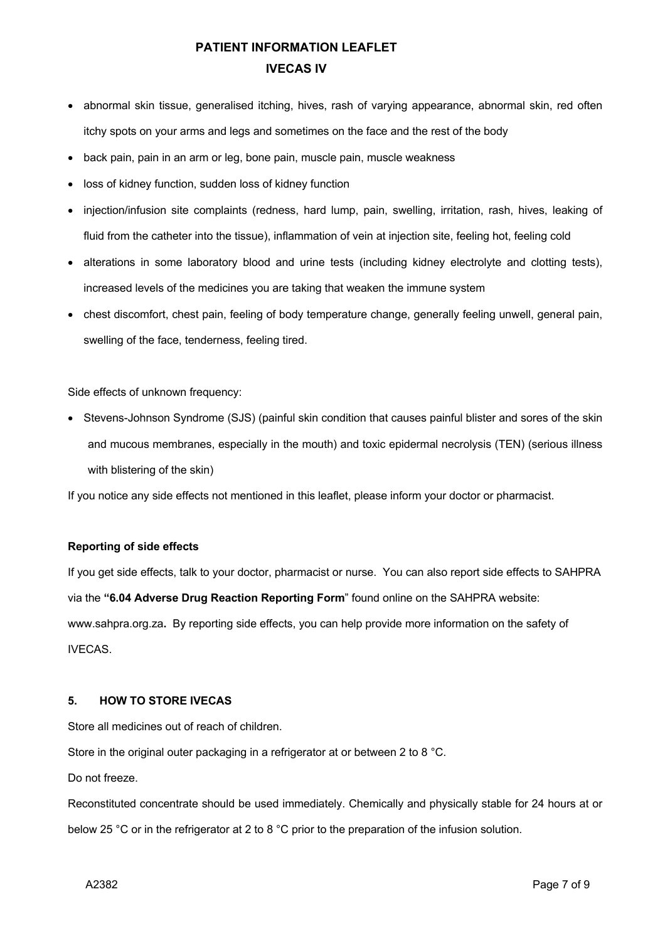- abnormal skin tissue, generalised itching, hives, rash of varying appearance, abnormal skin, red often itchy spots on your arms and legs and sometimes on the face and the rest of the body
- back pain, pain in an arm or leg, bone pain, muscle pain, muscle weakness
- loss of kidney function, sudden loss of kidney function
- injection/infusion site complaints (redness, hard lump, pain, swelling, irritation, rash, hives, leaking of fluid from the catheter into the tissue), inflammation of vein at injection site, feeling hot, feeling cold
- alterations in some laboratory blood and urine tests (including kidney electrolyte and clotting tests), increased levels of the medicines you are taking that weaken the immune system
- chest discomfort, chest pain, feeling of body temperature change, generally feeling unwell, general pain, swelling of the face, tenderness, feeling tired.

Side effects of unknown frequency:

• Stevens-Johnson Syndrome (SJS) (painful skin condition that causes painful blister and sores of the skin and mucous membranes, especially in the mouth) and toxic epidermal necrolysis (TEN) (serious illness with blistering of the skin)

If you notice any side effects not mentioned in this leaflet, please inform your doctor or pharmacist.

#### **Reporting of side effects**

If you get side effects, talk to your doctor, pharmacist or nurse. You can also report side effects to SAHPRA via the **"6.04 Adverse Drug Reaction Reporting Form**" found online on the SAHPRA website: www.sahpra.org.za**.** By reporting side effects, you can help provide more information on the safety of IVECAS.

#### **5. HOW TO STORE IVECAS**

Store all medicines out of reach of children.

Store in the original outer packaging in a refrigerator at or between 2 to 8 °C.

Do not freeze.

Reconstituted concentrate should be used immediately. Chemically and physically stable for 24 hours at or below 25 °C or in the refrigerator at 2 to 8 °C prior to the preparation of the infusion solution.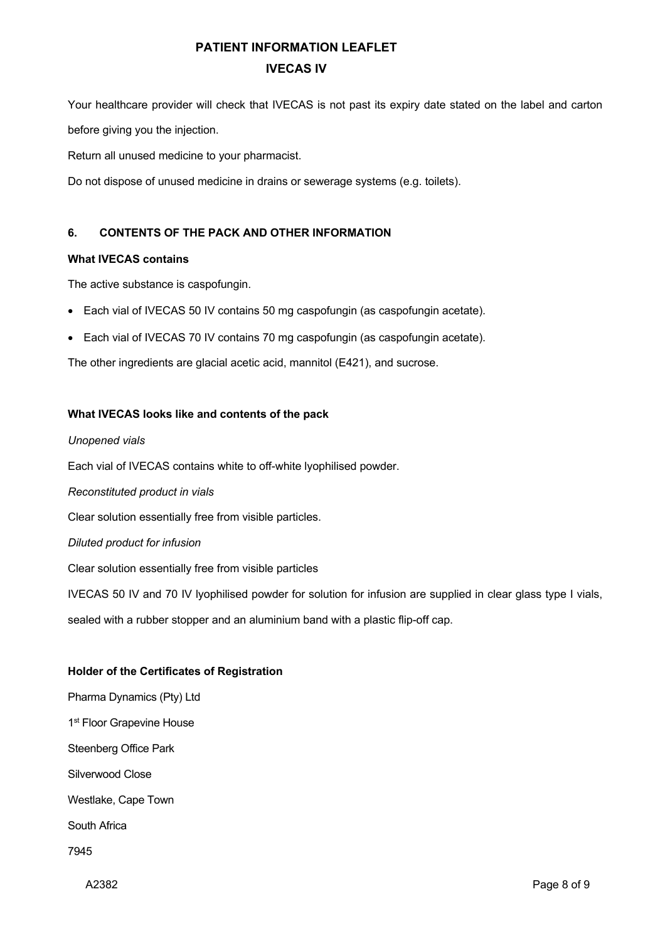Your healthcare provider will check that IVECAS is not past its expiry date stated on the label and carton before giving you the injection.

Return all unused medicine to your pharmacist.

Do not dispose of unused medicine in drains or sewerage systems (e.g. toilets).

## **6. CONTENTS OF THE PACK AND OTHER INFORMATION**

## **What IVECAS contains**

The active substance is caspofungin.

- Each vial of IVECAS 50 IV contains 50 mg caspofungin (as caspofungin acetate).
- Each vial of IVECAS 70 IV contains 70 mg caspofungin (as caspofungin acetate).

The other ingredients are glacial acetic acid, mannitol (E421), and sucrose.

#### **What IVECAS looks like and contents of the pack**

#### *Unopened vials*

Each vial of IVECAS contains white to off-white lyophilised powder.

*Reconstituted product in vials*

Clear solution essentially free from visible particles.

*Diluted product for infusion*

Clear solution essentially free from visible particles

IVECAS 50 IV and 70 IV lyophilised powder for solution for infusion are supplied in clear glass type I vials,

sealed with a rubber stopper and an aluminium band with a plastic flip-off cap.

#### **Holder of the Certificates of Registration**

Pharma Dynamics (Pty) Ltd 1st Floor Grapevine House Steenberg Office Park Silverwood Close Westlake, Cape Town South Africa 7945